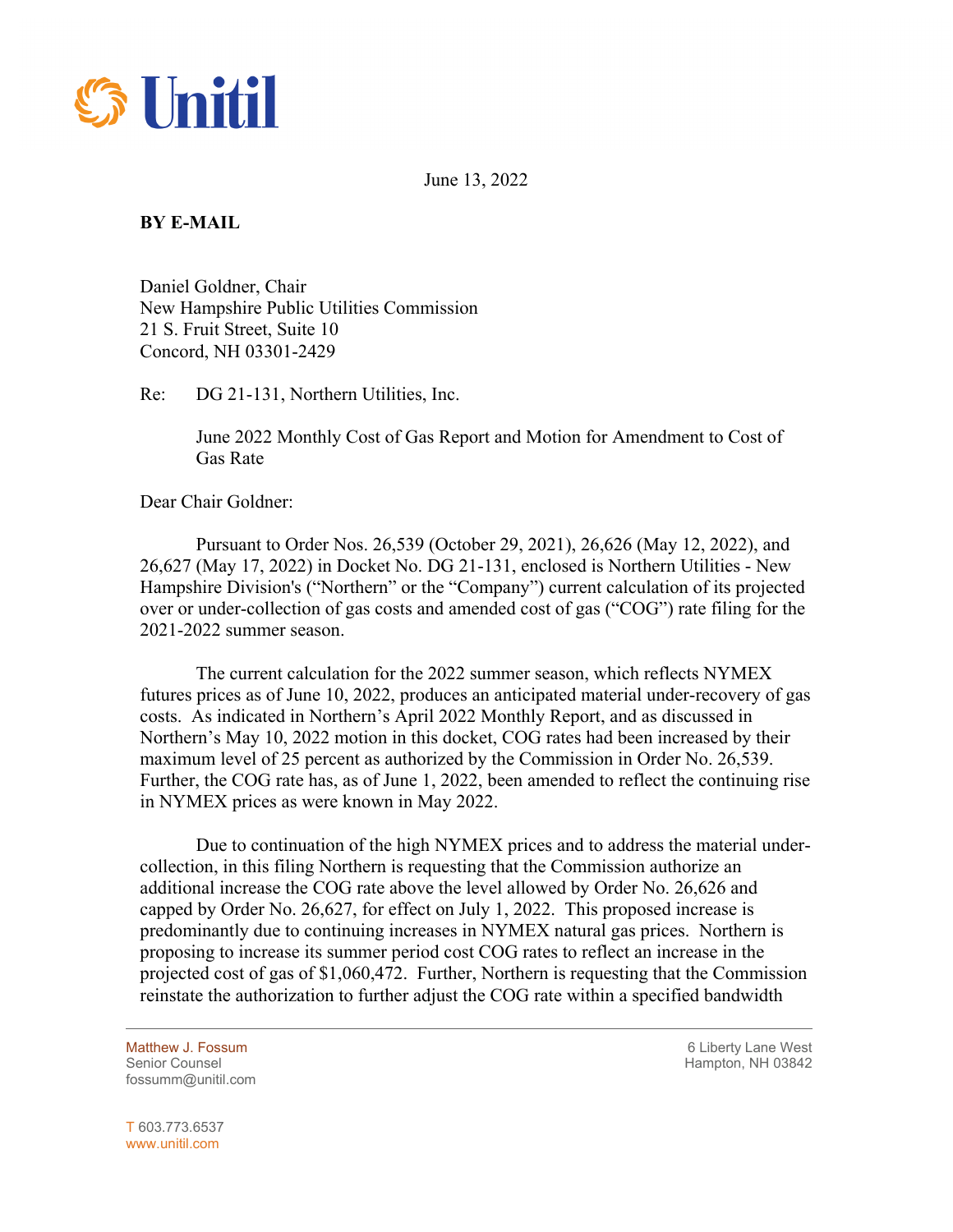

June 13, 2022

## **BY E-MAIL**

Daniel Goldner, Chair New Hampshire Public Utilities Commission 21 S. Fruit Street, Suite 10 Concord, NH 03301-2429

Re: DG 21-131, Northern Utilities, Inc.

June 2022 Monthly Cost of Gas Report and Motion for Amendment to Cost of Gas Rate

Dear Chair Goldner:

Pursuant to Order Nos. 26,539 (October 29, 2021), 26,626 (May 12, 2022), and 26,627 (May 17, 2022) in Docket No. DG 21-131, enclosed is Northern Utilities - New Hampshire Division's ("Northern" or the "Company") current calculation of its projected over or under-collection of gas costs and amended cost of gas ("COG") rate filing for the 2021-2022 summer season.

The current calculation for the 2022 summer season, which reflects NYMEX futures prices as of June 10, 2022, produces an anticipated material under-recovery of gas costs. As indicated in Northern's April 2022 Monthly Report, and as discussed in Northern's May 10, 2022 motion in this docket, COG rates had been increased by their maximum level of 25 percent as authorized by the Commission in Order No. 26,539. Further, the COG rate has, as of June 1, 2022, been amended to reflect the continuing rise in NYMEX prices as were known in May 2022.

Due to continuation of the high NYMEX prices and to address the material undercollection, in this filing Northern is requesting that the Commission authorize an additional increase the COG rate above the level allowed by Order No. 26,626 and capped by Order No. 26,627, for effect on July 1, 2022. This proposed increase is predominantly due to continuing increases in NYMEX natural gas prices. Northern is proposing to increase its summer period cost COG rates to reflect an increase in the projected cost of gas of \$1,060,472. Further, Northern is requesting that the Commission reinstate the authorization to further adjust the COG rate within a specified bandwidth

fossumm@unitil.com

Matthew J. Fossum 6 Liberty Lane West Senior Counsel New York 19842 Senior Counsel Hampton, NH 03842

T 603.773.6537 www.unitil.com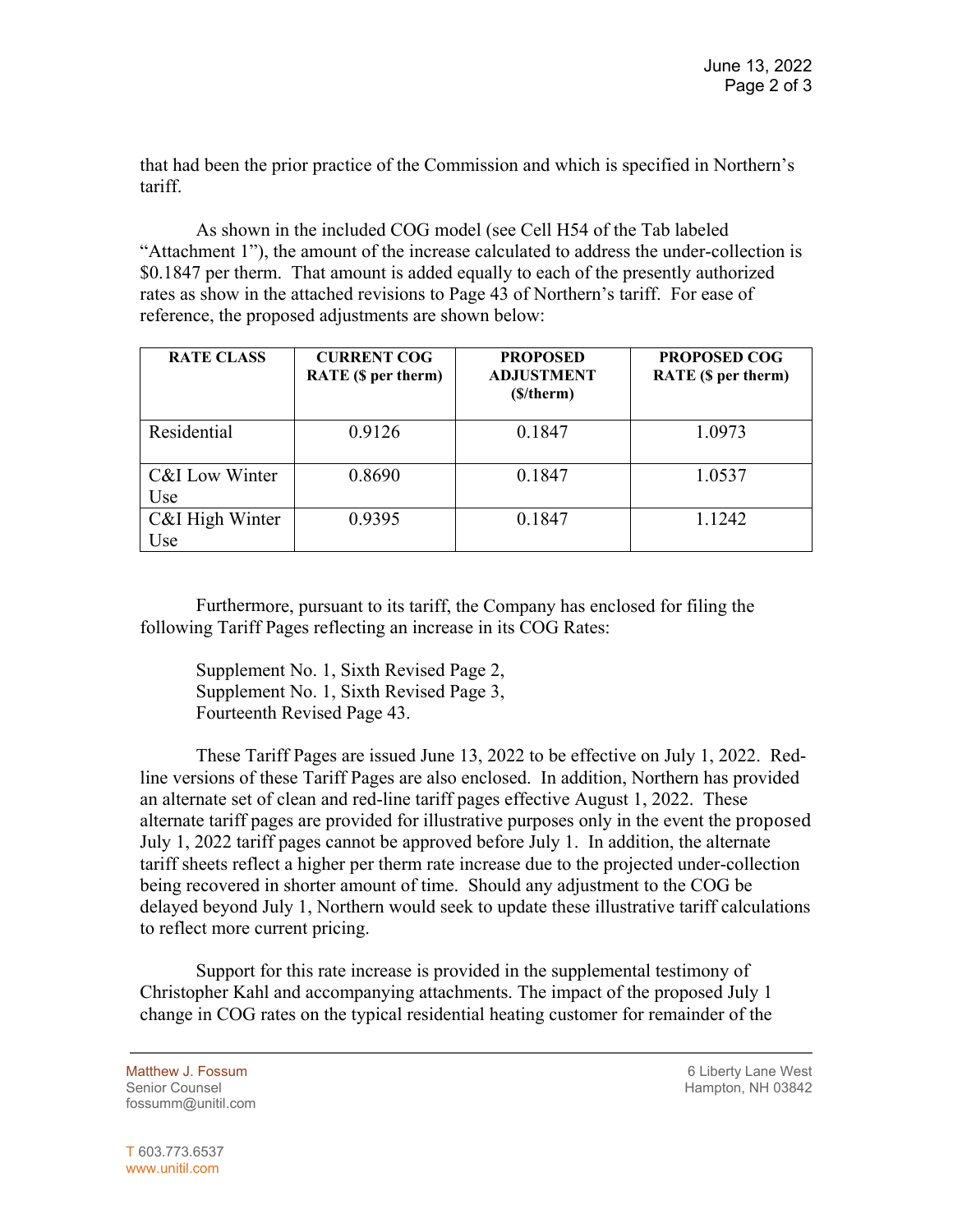that had been the prior practice of the Commission and which is specified in Northern's tariff.

As shown in the included COG model (see Cell H54 of the Tab labeled "Attachment 1"), the amount of the increase calculated to address the under-collection is \$0.1847 per therm. That amount is added equally to each of the presently authorized rates as show in the attached revisions to Page 43 of Northern's tariff. For ease of reference, the proposed adjustments are shown below:

| <b>RATE CLASS</b>      | <b>CURRENT COG</b><br>RATE (\$ per therm) | <b>PROPOSED</b><br><b>ADJUSTMENT</b><br>(\$/therm) | <b>PROPOSED COG</b><br>RATE (\$ per therm) |
|------------------------|-------------------------------------------|----------------------------------------------------|--------------------------------------------|
| Residential            | 0.9126                                    | 0.1847                                             | 1.0973                                     |
| C&I Low Winter<br>Use  | 0.8690                                    | 0.1847                                             | 1.0537                                     |
| C&I High Winter<br>Use | 0.9395                                    | 0.1847                                             | 1.1242                                     |

Furthermore, pursuant to its tariff, the Company has enclosed for filing the following Tariff Pages reflecting an increase in its COG Rates:

Supplement No. 1, Sixth Revised Page 2, Supplement No. 1, Sixth Revised Page 3, Fourteenth Revised Page 43.

These Tariff Pages are issued June 13, 2022 to be effective on July 1, 2022. Redline versions of these Tariff Pages are also enclosed. In addition, Northern has provided an alternate set of clean and red-line tariff pages effective August 1, 2022. These alternate tariff pages are provided for illustrative purposes only in the event the proposed July 1, 2022 tariff pages cannot be approved before July 1. In addition, the alternate tariff sheets reflect a higher per therm rate increase due to the projected under-collection being recovered in shorter amount of time. Should any adjustment to the COG be delayed beyond July 1, Northern would seek to update these illustrative tariff calculations to reflect more current pricing.

Support for this rate increase is provided in the supplemental testimony of Christopher Kahl and accompanying attachments. The impact of the proposed July 1 change in COG rates on the typical residential heating customer for remainder of the

fossumm@unitil.com

Matthew J. Fossum **6 Liberty Lane West 6 Liberty Lane West** Senior Counsel New York 1988 and the Senior Counsel Hampton, NH 03842